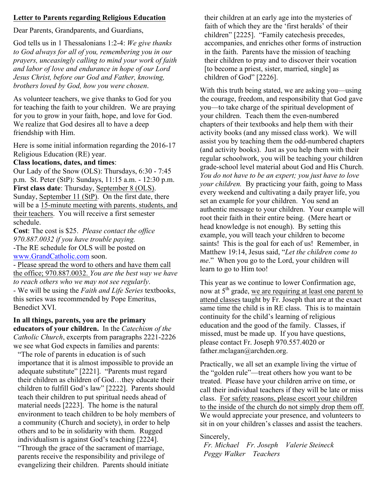# **Letter to Parents regarding Religious Education**

Dear Parents, Grandparents, and Guardians,

God tells us in 1 Thessalonians 1:2-4: *We give thanks to God always for all of you, remembering you in our prayers, unceasingly calling to mind your work of faith and labor of love and endurance in hope of our Lord Jesus Christ, before our God and Father, knowing, brothers loved by God, how you were chosen*.

As volunteer teachers, we give thanks to God for you for teaching the faith to your children. We are praying for you to grow in your faith, hope, and love for God. We realize that God desires all to have a deep friendship with Him.

Here is some initial information regarding the 2016-17 Religious Education (RE) year.

# **Class locations, dates, and times**:

Our Lady of the Snow (OLS): Thursdays, 6:30 - 7:45 p.m. St. Peter (StP): Sundays, 11:15 a.m. - 12:30 p.m. **First class date**: Thursday, September 8 (OLS). Sunday, September 11 (StP). On the first date, there will be a 15-minute meeting with parents, students, and their teachers. You will receive a first semester schedule.

**Cost**: The cost is \$25. *Please contact the office 970.887.0032 if you have trouble paying.* -The RE schedule for OLS will be posted on

www.GrandCatholic.com soon.

- Please spread the word to others and have them call the office; 970.887.0032. *You are the best way we have to reach others who we may not see regularly*.

- We will be using the *Faith and Life Series* textbooks, this series was recommended by Pope Emeritus, Benedict XVI.

# **In all things, parents, you are the primary educators of your children.** In the *Catechism of the Catholic Church*, excerpts from paragraphs 2221-2226 we see what God expects in families and parents:

"The role of parents in education is of such importance that it is almost impossible to provide an adequate substitute" [2221]. "Parents must regard their children as children of God…they educate their children to fulfill God's law" [2222]. Parents should teach their children to put spiritual needs ahead of material needs [2223]. The home is the natural environment to teach children to be holy members of a community (Church and society), in order to help others and to be in solidarity with them. Rugged individualism is against God's teaching [2224]. "Through the grace of the sacrament of marriage, parents receive the responsibility and privilege of evangelizing their children. Parents should initiate

their children at an early age into the mysteries of faith of which they are the 'first heralds' of their children" [2225]. "Family catechesis precedes, accompanies, and enriches other forms of instruction in the faith. Parents have the mission of teaching their children to pray and to discover their vocation [to become a priest, sister, married, single] as children of God" [2226].

With this truth being stated, we are asking you—using the courage, freedom, and responsibility that God gave you—to take charge of the spiritual development of your children. Teach them the even-numbered chapters of their textbooks and help them with their activity books (and any missed class work). We will assist you by teaching them the odd-numbered chapters (and activity books). Just as you help them with their regular schoolwork, you will be teaching your children grade-school level material about God and His Church. *You do not have to be an expert; you just have to love your children.* By practicing your faith, going to Mass every weekend and cultivating a daily prayer life, you set an example for your children. You send an authentic message to your children. Your example will root their faith in their entire being. (Mere heart or head knowledge is not enough). By setting this example, you will teach your children to become saints! This is the goal for each of us! Remember, in Matthew 19:14, Jesus said, "*Let the children come to me*." When you go to the Lord, your children will learn to go to Him too!

This year as we continue to lower Confirmation age, now at 5<sup>th</sup> grade, we are requiring at least one parent to attend classes taught by Fr. Joseph that are at the exact same time the child is in RE class. This is to maintain continuity for the child's learning of religious education and the good of the family. Classes, if missed, must be made up. If you have questions, please contact Fr. Joseph 970.557.4020 or father.mclagan@archden.org.

Practically, we all set an example living the virtue of the "golden rule"—treat others how you want to be treated. Please have your children arrive on time, or call their individual teachers if they will be late or miss class. For safety reasons, please escort your children to the inside of the church do not simply drop them off. We would appreciate your presence, and volunteers to sit in on your children's classes and assist the teachers.

# Sincerely,

 *Fr. Michael Fr. Joseph Valerie Steineck Peggy Walker Teachers*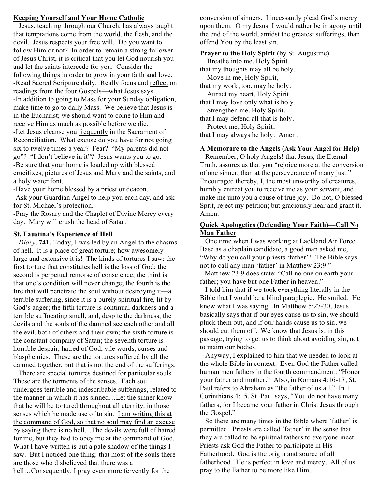# **Keeping Yourself and Your Home Catholic**

 Jesus, teaching through our Church, has always taught that temptations come from the world, the flesh, and the devil. Jesus respects your free will. Do you want to follow Him or not? In order to remain a strong follower of Jesus Christ, it is critical that you let God nourish you and let the saints intercede for you. Consider the following things in order to grow in your faith and love. -Read Sacred Scripture daily. Really focus and reflect on readings from the four Gospels—what Jesus says. -In addition to going to Mass for your Sunday obligation, make time to go to daily Mass. We believe that Jesus is in the Eucharist; we should want to come to Him and receive Him as much as possible before we die. -Let Jesus cleanse you frequently in the Sacrament of

Reconciliation. What excuse do you have for not going six to twelve times a year? Fear? "My parents did not go"? "I don't believe in it"? Jesus wants you to go. -Be sure that your home is loaded up with blessed crucifixes, pictures of Jesus and Mary and the saints, and a holy water font.

-Have your home blessed by a priest or deacon.

-Ask your Guardian Angel to help you each day, and ask for St. Michael's protection.

-Pray the Rosary and the Chaplet of Divine Mercy every day. Mary will crush the head of Satan.

# **St. Faustina's Experience of Hell**

 *Diary*, **741.** Today, I was led by an Angel to the chasms of hell. It is a place of great torture; how awesomely large and extensive it is! The kinds of tortures I saw: the first torture that constitutes hell is the loss of God; the second is perpetual remorse of conscience; the third is that one's condition will never change; the fourth is the fire that will penetrate the soul without destroying it—a terrible suffering, since it is a purely spiritual fire, lit by God's anger; the fifth torture is continual darkness and a terrible suffocating smell, and, despite the darkness, the devils and the souls of the damned see each other and all the evil, both of others and their own; the sixth torture is the constant company of Satan; the seventh torture is horrible despair, hatred of God, vile words, curses and blasphemies. These are the tortures suffered by all the damned together, but that is not the end of the sufferings.

 There are special tortures destined for particular souls. These are the torments of the senses. Each soul undergoes terrible and indescribable sufferings, related to the manner in which it has sinned…Let the sinner know that he will be tortured throughout all eternity, in those senses which he made use of to sin. I am writing this at the command of God, so that no soul may find an excuse by saying there is no hell…The devils were full of hatred for me, but they had to obey me at the command of God. What I have written is but a pale shadow of the things I saw. But I noticed one thing: that most of the souls there are those who disbelieved that there was a hell…Consequently, I pray even more fervently for the

conversion of sinners. I incessantly plead God's mercy upon them. O my Jesus, I would rather be in agony until the end of the world, amidst the greatest sufferings, than offend You by the least sin.

#### **Prayer to the Holy Spirit** (by St. Augustine)

 Breathe into me, Holy Spirit, that my thoughts may all be holy. Move in me, Holy Spirit, that my work, too, may be holy. Attract my heart, Holy Spirit, that I may love only what is holy. Strengthen me, Holy Spirit, that I may defend all that is holy. Protect me, Holy Spirit, that I may always be holy. Amen.

# **A Memorare to the Angels (Ask Your Angel for Help)**

 Remember, O holy Angels! that Jesus, the Eternal Truth, assures us that you "rejoice more at the conversion of one sinner, than at the perseverance of many just." Encouraged thereby, I, the most unworthy of creatures, humbly entreat you to receive me as your servant, and make me unto you a cause of true joy. Do not, O blessed Sprit, reject my petition; but graciously hear and grant it. Amen.

# **Quick Apologetics (Defending Your Faith)—Call No Man Father**

 One time when I was working at Lackland Air Force Base as a chaplain candidate, a good man asked me, "Why do you call your priests 'father'? The Bible says not to call any man 'father' in Matthew 23:9."

 Matthew 23:9 does state: "Call no one on earth your father; you have but one Father in heaven."

 I told him that if we took everything literally in the Bible that I would be a blind paraplegic. He smiled. He knew what I was saying. In Matthew 5:27-30, Jesus basically says that if our eyes cause us to sin, we should pluck them out, and if our hands cause us to sin, we should cut them off. We know that Jesus is, in this passage, trying to get us to think about avoiding sin, not to maim our bodies.

 Anyway, I explained to him that we needed to look at the whole Bible in context. Even God the Father called human men fathers in the fourth commandment: "Honor your father and mother." Also, in Romans 4:16-17, St. Paul refers to Abraham as "the father of us all." In 1 Corinthians 4:15, St. Paul says, "You do not have many fathers, for I became your father in Christ Jesus through the Gospel."

 So there are many times in the Bible where 'father' is permitted. Priests are called 'father' in the sense that they are called to be spiritual fathers to everyone meet. Priests ask God the Father to participate in His Fatherhood. God is the origin and source of all fatherhood. He is perfect in love and mercy. All of us pray to the Father to be more like Him.